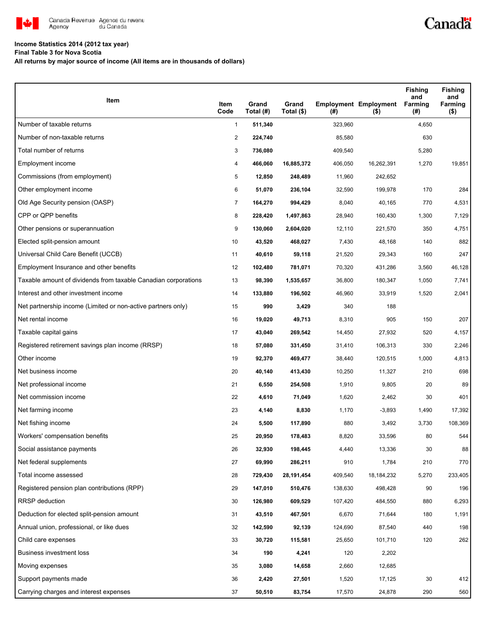

## **Income Statistics 2014 (2012 tax year)**

**Final Table 3 for Nova Scotia**

**All returns by major source of income (All items are in thousands of dollars)**

| Item                                                           | Item<br>Code   | Grand<br>Total (#) | Grand<br>Total (\$) | (#)     | <b>Employment Employment</b><br>$($ \$) | <b>Fishing</b><br>and<br>Farming<br>(#) | <b>Fishing</b><br>and<br>Farming<br>( \$) |
|----------------------------------------------------------------|----------------|--------------------|---------------------|---------|-----------------------------------------|-----------------------------------------|-------------------------------------------|
| Number of taxable returns                                      | $\mathbf{1}$   | 511,340            |                     | 323,960 |                                         | 4,650                                   |                                           |
| Number of non-taxable returns                                  | $\overline{2}$ | 224,740            |                     | 85,580  |                                         | 630                                     |                                           |
| Total number of returns                                        | 3              | 736,080            |                     | 409,540 |                                         | 5,280                                   |                                           |
| Employment income                                              | 4              | 466,060            | 16,885,372          | 406,050 | 16,262,391                              | 1,270                                   | 19,851                                    |
| Commissions (from employment)                                  | 5              | 12,850             | 248,489             | 11,960  | 242,652                                 |                                         |                                           |
| Other employment income                                        | 6              | 51,070             | 236,104             | 32,590  | 199,978                                 | 170                                     | 284                                       |
| Old Age Security pension (OASP)                                | $\overline{7}$ | 164,270            | 994,429             | 8,040   | 40,165                                  | 770                                     | 4,531                                     |
| CPP or QPP benefits                                            | 8              | 228,420            | 1,497,863           | 28,940  | 160,430                                 | 1,300                                   | 7,129                                     |
| Other pensions or superannuation                               | 9              | 130,060            | 2,604,020           | 12,110  | 221,570                                 | 350                                     | 4,751                                     |
| Elected split-pension amount                                   | 10             | 43,520             | 468,027             | 7,430   | 48,168                                  | 140                                     | 882                                       |
| Universal Child Care Benefit (UCCB)                            | 11             | 40,610             | 59,118              | 21,520  | 29,343                                  | 160                                     | 247                                       |
| Employment Insurance and other benefits                        | 12             | 102,480            | 781,071             | 70,320  | 431,286                                 | 3,560                                   | 46,128                                    |
| Taxable amount of dividends from taxable Canadian corporations | 13             | 98,390             | 1,535,657           | 36,800  | 180,347                                 | 1,050                                   | 7,741                                     |
| Interest and other investment income                           | 14             | 133,880            | 196,502             | 46,960  | 33,919                                  | 1,520                                   | 2,041                                     |
| Net partnership income (Limited or non-active partners only)   | 15             | 990                | 3,429               | 340     | 188                                     |                                         |                                           |
| Net rental income                                              | 16             | 19,020             | 49,713              | 8,310   | 905                                     | 150                                     | 207                                       |
| Taxable capital gains                                          | 17             | 43,040             | 269,542             | 14,450  | 27,932                                  | 520                                     | 4,157                                     |
| Registered retirement savings plan income (RRSP)               | 18             | 57,080             | 331,450             | 31,410  | 106,313                                 | 330                                     | 2,246                                     |
| Other income                                                   | 19             | 92,370             | 469,477             | 38,440  | 120,515                                 | 1,000                                   | 4,813                                     |
| Net business income                                            | 20             | 40,140             | 413,430             | 10,250  | 11,327                                  | 210                                     | 698                                       |
| Net professional income                                        | 21             | 6,550              | 254,508             | 1,910   | 9,805                                   | 20                                      | 89                                        |
| Net commission income                                          | 22             | 4,610              | 71,049              | 1,620   | 2,462                                   | 30                                      | 401                                       |
| Net farming income                                             | 23             | 4,140              | 8,830               | 1,170   | $-3,893$                                | 1,490                                   | 17,392                                    |
| Net fishing income                                             | 24             | 5,500              | 117,890             | 880     | 3,492                                   | 3,730                                   | 108,369                                   |
| Workers' compensation benefits                                 | 25             | 20,950             | 178,483             | 8,820   | 33,596                                  | 80                                      | 544                                       |
| Social assistance payments                                     | 26             | 32,930             | 198,445             | 4,440   | 13,336                                  | 30                                      | 88                                        |
| Net federal supplements                                        | 27             | 69,990             | 286,211             | 910     | 1,784                                   | 210                                     | 770                                       |
| Total income assessed                                          | 28             | 729,430            | 28, 191, 454        | 409,540 | 18, 184, 232                            | 5,270                                   | 233,405                                   |
| Registered pension plan contributions (RPP)                    | 29             | 147,010            | 510,476             | 138,630 | 498,428                                 | 90                                      | 196                                       |
| <b>RRSP</b> deduction                                          | 30             | 126,980            | 609,529             | 107,420 | 484,550                                 | 880                                     | 6,293                                     |
| Deduction for elected split-pension amount                     | 31             | 43,510             | 467,501             | 6,670   | 71,644                                  | 180                                     | 1,191                                     |
| Annual union, professional, or like dues                       | 32             | 142,590            | 92,139              | 124,690 | 87,540                                  | 440                                     | 198                                       |
| Child care expenses                                            | 33             | 30,720             | 115,581             | 25,650  | 101,710                                 | 120                                     | 262                                       |
| Business investment loss                                       | 34             | 190                | 4,241               | 120     | 2,202                                   |                                         |                                           |
| Moving expenses                                                | 35             | 3,080              | 14,658              | 2,660   | 12,685                                  |                                         |                                           |
| Support payments made                                          | 36             | 2,420              | 27,501              | 1,520   | 17,125                                  | 30                                      | 412                                       |
| Carrying charges and interest expenses                         | 37             | 50,510             | 83,754              | 17,570  | 24,878                                  | 290                                     | 560                                       |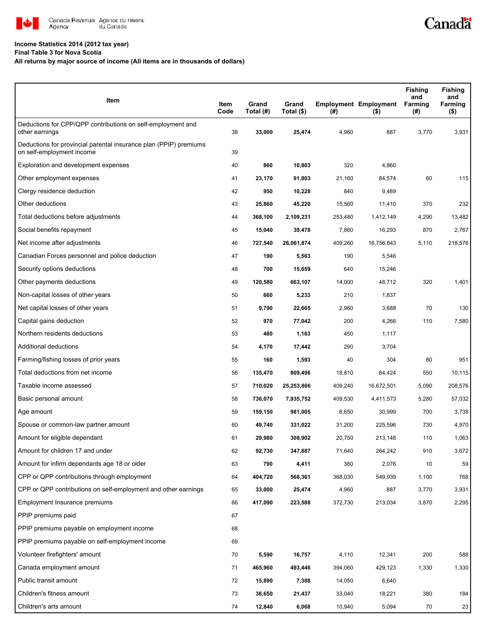

## **Income Statistics 2014 (2012 tax year)**

**Final Table 3 for Nova Scotia**

## **All returns by major source of income (All items are in thousands of dollars)**

| Item                                                                                           | Item<br>Code | Grand<br>Total (#) | Grand<br>Total (\$) | (#)     | <b>Employment Employment</b><br>(5) | <b>Fishing</b><br>and<br>Farming<br>(#) | <b>Fishing</b><br>and<br>Farming<br>$($ \$) |
|------------------------------------------------------------------------------------------------|--------------|--------------------|---------------------|---------|-------------------------------------|-----------------------------------------|---------------------------------------------|
| Deductions for CPP/QPP contributions on self-employment and<br>other earnings                  | 38           | 33,000             | 25,474              | 4,960   | 887                                 | 3,770                                   | 3,931                                       |
| Deductions for provincial parental insurance plan (PPIP) premiums<br>on self-employment income | 39           |                    |                     |         |                                     |                                         |                                             |
| Exploration and development expenses                                                           | 40           | 860                | 10,803              | 320     | 4,860                               |                                         |                                             |
| Other employment expenses                                                                      | 41           | 23,170             | 91,803              | 21,160  | 84,574                              | 60                                      | 115                                         |
| Clergy residence deduction                                                                     | 42           | 950                | 10,228              | 840     | 9,489                               |                                         |                                             |
| Other deductions                                                                               | 43           | 25,860             | 45,220              | 15,560  | 11,410                              | 370                                     | 232                                         |
| Total deductions before adjustments                                                            | 44           | 368,100            | 2,109,231           | 253,480 | 1,412,149                           | 4,290                                   | 13,482                                      |
| Social benefits repayment                                                                      | 45           | 15,040             | 39,478              | 7,860   | 16,293                              | 870                                     | 2,767                                       |
| Net income after adjustments                                                                   | 46           | 727,540            | 26,061,874          | 409,260 | 16,756,843                          | 5,110                                   | 218,576                                     |
| Canadian Forces personnel and police deduction                                                 | 47           | 190                | 5,563               | 190     | 5,546                               |                                         |                                             |
| Security options deductions                                                                    | 48           | 700                | 15,659              | 640     | 15,246                              |                                         |                                             |
| Other payments deductions                                                                      | 49           | 120,580            | 663,107             | 14,000  | 48,712                              | 320                                     | 1,401                                       |
| Non-capital losses of other years                                                              | 50           | 660                | 5,233               | 210     | 1,837                               |                                         |                                             |
| Net capital losses of other years                                                              | 51           | 9,790              | 22,665              | 2,960   | 3,688                               | 70                                      | 130                                         |
| Capital gains deduction                                                                        | 52           | 970                | 77,042              | 200     | 4,266                               | 110                                     | 7,580                                       |
| Northern residents deductions                                                                  | 53           | 480                | 1,163               | 450     | 1,117                               |                                         |                                             |
| Additional deductions                                                                          | 54           | 4,170              | 17,442              | 290     | 3,704                               |                                         |                                             |
| Farming/fishing losses of prior years                                                          | 55           | 160                | 1,593               | 40      | 304                                 | 80                                      | 951                                         |
| Total deductions from net income                                                               | 56           | 135,470            | 809,496             | 18,810  | 84,424                              | 550                                     | 10,115                                      |
| Taxable income assessed                                                                        | 57           | 710,020            | 25,253,866          | 409,240 | 16,672,501                          | 5,090                                   | 208,576                                     |
| Basic personal amount                                                                          | 58           | 736,070            | 7,935,752           | 409,530 | 4,411,573                           | 5,280                                   | 57,032                                      |
| Age amount                                                                                     | 59           | 159,150            | 981,005             | 6,650   | 30,999                              | 700                                     | 3,738                                       |
| Spouse or common-law partner amount                                                            | 60           | 49,740             | 331,022             | 31,200  | 225,596                             | 730                                     | 4,970                                       |
| Amount for eligible dependant                                                                  | 61           | 29,980             | 308,902             | 20,750  | 213,148                             | 110                                     | 1,063                                       |
| Amount for children 17 and under                                                               | 62           | 92,730             | 347,887             | 71,640  | 264,242                             | 910                                     | 3,672                                       |
| Amount for infirm dependants age 18 or older                                                   | 63           | 790                | 4,411               | 380     | 2,076                               | 10                                      | 59                                          |
| CPP or QPP contributions through employment                                                    | 64           | 404,720            | 568,361             | 368,030 | 549,939                             | 1,100                                   | 768                                         |
| CPP or QPP contributions on self-employment and other earnings                                 | 65           | 33,000             | 25,474              | 4,960   | 887                                 | 3,770                                   | 3,931                                       |
| Employment Insurance premiums                                                                  | 66           | 417,090            | 223,588             | 372,730 | 213,034                             | 3,870                                   | 2,295                                       |
| PPIP premiums paid                                                                             | 67           |                    |                     |         |                                     |                                         |                                             |
| PPIP premiums payable on employment income                                                     | 68           |                    |                     |         |                                     |                                         |                                             |
| PPIP premiums payable on self-employment income                                                | 69           |                    |                     |         |                                     |                                         |                                             |
| Volunteer firefighters' amount                                                                 | 70           | 5,590              | 16,757              | 4,110   | 12,341                              | 200                                     | 588                                         |
| Canada employment amount                                                                       | 71           | 465,960            | 493,446             | 394,060 | 429,123                             | 1,330                                   | 1,330                                       |
| Public transit amount                                                                          | 72           | 15,890             | 7,388               | 14,050  | 6,640                               |                                         |                                             |
| Children's fitness amount                                                                      | 73           | 38,650             | 21,437              | 33,040  | 18,221                              | 380                                     | 184                                         |
| Children's arts amount                                                                         | 74           | 12,840             | 6,068               | 10,940  | 5,094                               | 70                                      | 23                                          |

Canadä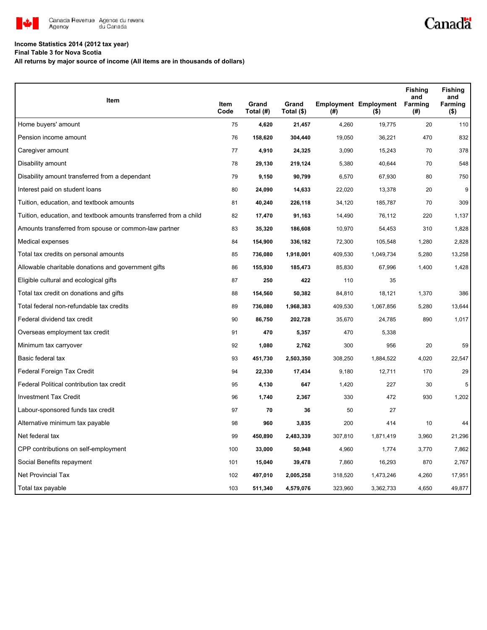

## **Income Statistics 2014 (2012 tax year)**

**Final Table 3 for Nova Scotia**

**All returns by major source of income (All items are in thousands of dollars)**

| Item                                                              | Item | Grand     | Grand      |         | <b>Employment Employment</b> | <b>Fishing</b><br>and<br>Farming | <b>Fishing</b><br>and<br>Farming |
|-------------------------------------------------------------------|------|-----------|------------|---------|------------------------------|----------------------------------|----------------------------------|
|                                                                   | Code | Total (#) | Total (\$) | (#)     | $($ \$)                      | (#)                              | $($ \$)                          |
| Home buyers' amount                                               | 75   | 4,620     | 21,457     | 4,260   | 19,775                       | 20                               | 110                              |
| Pension income amount                                             | 76   | 158,620   | 304,440    | 19,050  | 36,221                       | 470                              | 832                              |
| Caregiver amount                                                  | 77   | 4,910     | 24,325     | 3,090   | 15,243                       | 70                               | 378                              |
| Disability amount                                                 | 78   | 29,130    | 219,124    | 5,380   | 40,644                       | 70                               | 548                              |
| Disability amount transferred from a dependant                    | 79   | 9,150     | 90,799     | 6,570   | 67,930                       | 80                               | 750                              |
| Interest paid on student loans                                    | 80   | 24,090    | 14,633     | 22,020  | 13,378                       | 20                               | 9                                |
| Tuition, education, and textbook amounts                          | 81   | 40,240    | 226,118    | 34,120  | 185,787                      | 70                               | 309                              |
| Tuition, education, and textbook amounts transferred from a child | 82   | 17,470    | 91,163     | 14,490  | 76,112                       | 220                              | 1,137                            |
| Amounts transferred from spouse or common-law partner             | 83   | 35,320    | 186,608    | 10,970  | 54,453                       | 310                              | 1,828                            |
| Medical expenses                                                  | 84   | 154,900   | 336,182    | 72,300  | 105,548                      | 1,280                            | 2,828                            |
| Total tax credits on personal amounts                             | 85   | 736,080   | 1,918,001  | 409,530 | 1,049,734                    | 5,280                            | 13,258                           |
| Allowable charitable donations and government gifts               | 86   | 155,930   | 185,473    | 85,830  | 67,996                       | 1,400                            | 1,428                            |
| Eligible cultural and ecological gifts                            | 87   | 250       | 422        | 110     | 35                           |                                  |                                  |
| Total tax credit on donations and gifts                           | 88   | 154,560   | 50,382     | 84,810  | 18,121                       | 1,370                            | 386                              |
| Total federal non-refundable tax credits                          | 89   | 736,080   | 1,968,383  | 409,530 | 1,067,856                    | 5,280                            | 13,644                           |
| Federal dividend tax credit                                       | 90   | 86,750    | 202,728    | 35,670  | 24,785                       | 890                              | 1,017                            |
| Overseas employment tax credit                                    | 91   | 470       | 5,357      | 470     | 5,338                        |                                  |                                  |
| Minimum tax carryover                                             | 92   | 1,080     | 2,762      | 300     | 956                          | 20                               | 59                               |
| Basic federal tax                                                 | 93   | 451,730   | 2,503,350  | 308,250 | 1,884,522                    | 4,020                            | 22,547                           |
| Federal Foreign Tax Credit                                        | 94   | 22,330    | 17,434     | 9,180   | 12,711                       | 170                              | 29                               |
| Federal Political contribution tax credit                         | 95   | 4,130     | 647        | 1,420   | 227                          | 30                               | 5                                |
| <b>Investment Tax Credit</b>                                      | 96   | 1,740     | 2,367      | 330     | 472                          | 930                              | 1,202                            |
| Labour-sponsored funds tax credit                                 | 97   | 70        | 36         | 50      | 27                           |                                  |                                  |
| Alternative minimum tax payable                                   | 98   | 960       | 3,835      | 200     | 414                          | 10                               | 44                               |
| Net federal tax                                                   | 99   | 450,890   | 2,483,339  | 307,810 | 1,871,419                    | 3,960                            | 21,296                           |
| CPP contributions on self-employment                              | 100  | 33,000    | 50,948     | 4,960   | 1,774                        | 3,770                            | 7,862                            |
| Social Benefits repayment                                         | 101  | 15,040    | 39,478     | 7,860   | 16,293                       | 870                              | 2,767                            |
| <b>Net Provincial Tax</b>                                         | 102  | 497,010   | 2,005,258  | 318,520 | 1,473,246                    | 4,260                            | 17,951                           |
| Total tax payable                                                 | 103  | 511,340   | 4,579,076  | 323,960 | 3,362,733                    | 4,650                            | 49,877                           |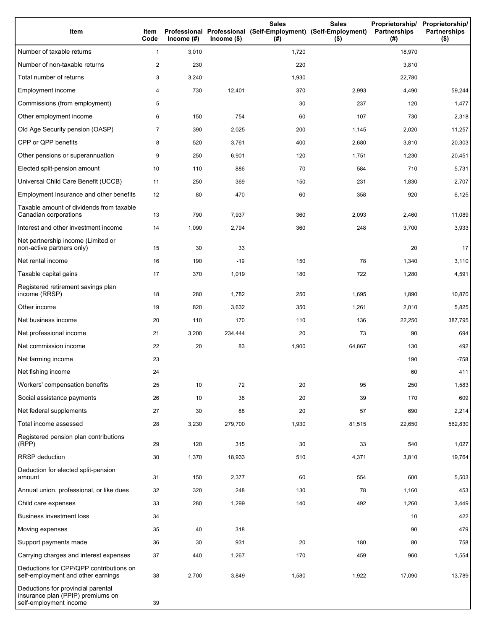| Item                                                                                              | Item<br>Code   | Income (#) | $Income$ (\$) | <b>Sales</b><br>Professional Professional (Self-Employment) (Self-Employment)<br>(#) | <b>Sales</b><br>$($ \$) | Proprietorship/ Proprietorship/<br>Partnerships<br>(# ) | <b>Partnerships</b><br>$($ \$) |
|---------------------------------------------------------------------------------------------------|----------------|------------|---------------|--------------------------------------------------------------------------------------|-------------------------|---------------------------------------------------------|--------------------------------|
| Number of taxable returns                                                                         | $\mathbf{1}$   | 3,010      |               | 1,720                                                                                |                         | 18,970                                                  |                                |
| Number of non-taxable returns                                                                     | 2              | 230        |               | 220                                                                                  |                         | 3,810                                                   |                                |
| Total number of returns                                                                           | 3              | 3,240      |               | 1,930                                                                                |                         | 22,780                                                  |                                |
| Employment income                                                                                 | 4              | 730        | 12,401        | 370                                                                                  | 2,993                   | 4,490                                                   | 59,244                         |
| Commissions (from employment)                                                                     | 5              |            |               | 30                                                                                   | 237                     | 120                                                     | 1,477                          |
| Other employment income                                                                           | 6              | 150        | 754           | 60                                                                                   | 107                     | 730                                                     | 2,318                          |
| Old Age Security pension (OASP)                                                                   | $\overline{7}$ | 390        | 2,025         | 200                                                                                  | 1,145                   | 2,020                                                   | 11,257                         |
| CPP or QPP benefits                                                                               | 8              | 520        | 3,761         | 400                                                                                  | 2,680                   | 3,810                                                   | 20,303                         |
| Other pensions or superannuation                                                                  | 9              | 250        | 6,901         | 120                                                                                  | 1,751                   | 1,230                                                   | 20,451                         |
| Elected split-pension amount                                                                      | 10             | 110        | 886           | 70                                                                                   | 584                     | 710                                                     | 5,731                          |
| Universal Child Care Benefit (UCCB)                                                               | 11             | 250        | 369           | 150                                                                                  | 231                     | 1,830                                                   | 2,707                          |
| Employment Insurance and other benefits                                                           | 12             | 80         | 470           | 60                                                                                   | 358                     | 920                                                     | 6,125                          |
| Taxable amount of dividends from taxable<br>Canadian corporations                                 | 13             | 790        | 7,937         | 360                                                                                  | 2,093                   | 2,460                                                   | 11,089                         |
| Interest and other investment income                                                              | 14             | 1,090      | 2,794         | 360                                                                                  | 248                     | 3,700                                                   | 3,933                          |
| Net partnership income (Limited or<br>non-active partners only)                                   | 15             | 30         | 33            |                                                                                      |                         | 20                                                      | 17                             |
| Net rental income                                                                                 | 16             | 190        | $-19$         | 150                                                                                  | 78                      | 1,340                                                   | 3,110                          |
| Taxable capital gains                                                                             | 17             | 370        | 1,019         | 180                                                                                  | 722                     | 1,280                                                   | 4,591                          |
| Registered retirement savings plan<br>income (RRSP)                                               | 18             | 280        | 1,782         | 250                                                                                  | 1,695                   | 1,890                                                   | 10,870                         |
| Other income                                                                                      | 19             | 820        | 3,632         | 350                                                                                  | 1,261                   | 2,010                                                   | 5,825                          |
| Net business income                                                                               | 20             | 110        | 170           | 110                                                                                  | 136                     | 22,250                                                  | 387,795                        |
| Net professional income                                                                           | 21             | 3,200      | 234,444       | 20                                                                                   | 73                      | 90                                                      | 694                            |
| Net commission income                                                                             | 22             | 20         | 83            | 1,900                                                                                | 64,867                  | 130                                                     | 492                            |
| Net farming income                                                                                | 23             |            |               |                                                                                      |                         | 190                                                     | $-758$                         |
| Net fishing income                                                                                | 24             |            |               |                                                                                      |                         | 60                                                      | 411                            |
| Workers' compensation benefits                                                                    | 25             | 10         | 72            | 20                                                                                   | 95                      | 250                                                     | 1,583                          |
| Social assistance payments                                                                        | 26             | 10         | 38            | 20                                                                                   | 39                      | 170                                                     | 609                            |
| Net federal supplements                                                                           | 27             | 30         | 88            | 20                                                                                   | 57                      | 690                                                     | 2,214                          |
| Total income assessed                                                                             | 28             | 3,230      | 279,700       | 1,930                                                                                | 81,515                  | 22,650                                                  | 562,830                        |
| Registered pension plan contributions<br>(RPP)                                                    | 29             | 120        | 315           | 30                                                                                   | 33                      | 540                                                     | 1,027                          |
| <b>RRSP</b> deduction                                                                             | 30             | 1,370      | 18,933        | 510                                                                                  | 4,371                   | 3,810                                                   | 19,764                         |
| Deduction for elected split-pension<br>amount                                                     | 31             | 150        | 2,377         | 60                                                                                   | 554                     | 600                                                     | 5,503                          |
| Annual union, professional, or like dues                                                          | 32             | 320        | 248           | 130                                                                                  | 78                      | 1,160                                                   | 453                            |
| Child care expenses                                                                               | 33             | 280        | 1,299         | 140                                                                                  | 492                     | 1,260                                                   | 3,449                          |
| <b>Business investment loss</b>                                                                   | 34             |            |               |                                                                                      |                         | 10                                                      | 422                            |
| Moving expenses                                                                                   | 35             | 40         | 318           |                                                                                      |                         | 90                                                      | 479                            |
| Support payments made                                                                             | 36             | 30         | 931           | 20                                                                                   | 180                     | 80                                                      | 758                            |
| Carrying charges and interest expenses                                                            | 37             | 440        | 1,267         | 170                                                                                  | 459                     | 960                                                     | 1,554                          |
| Deductions for CPP/QPP contributions on<br>self-employment and other earnings                     | 38             | 2,700      | 3,849         | 1,580                                                                                | 1,922                   | 17,090                                                  | 13,789                         |
| Deductions for provincial parental<br>insurance plan (PPIP) premiums on<br>self-employment income | 39             |            |               |                                                                                      |                         |                                                         |                                |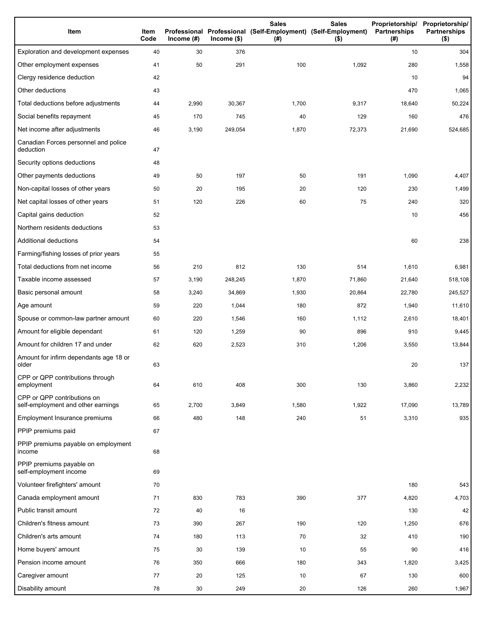| Item                                                              | Item<br>Code | Income $(#)$ | $Income$ (\$) | <b>Sales</b><br>Professional Professional (Self-Employment) (Self-Employment)<br>(#) | <b>Sales</b><br>$($ \$) | Proprietorship/<br>Partnerships<br>(#) | Proprietorship/<br><b>Partnerships</b><br>$($ \$) |
|-------------------------------------------------------------------|--------------|--------------|---------------|--------------------------------------------------------------------------------------|-------------------------|----------------------------------------|---------------------------------------------------|
| Exploration and development expenses                              | 40           | 30           | 376           |                                                                                      |                         | 10                                     | 304                                               |
| Other employment expenses                                         | 41           | 50           | 291           | 100                                                                                  | 1,092                   | 280                                    | 1,558                                             |
| Clergy residence deduction                                        | 42           |              |               |                                                                                      |                         | 10                                     | 94                                                |
| Other deductions                                                  | 43           |              |               |                                                                                      |                         | 470                                    | 1,065                                             |
| Total deductions before adjustments                               | 44           | 2,990        | 30,367        | 1,700                                                                                | 9,317                   | 18,640                                 | 50,224                                            |
| Social benefits repayment                                         | 45           | 170          | 745           | 40                                                                                   | 129                     | 160                                    | 476                                               |
| Net income after adjustments                                      | 46           | 3,190        | 249,054       | 1,870                                                                                | 72,373                  | 21,690                                 | 524,685                                           |
| Canadian Forces personnel and police<br>deduction                 | 47           |              |               |                                                                                      |                         |                                        |                                                   |
| Security options deductions                                       | 48           |              |               |                                                                                      |                         |                                        |                                                   |
| Other payments deductions                                         | 49           | 50           | 197           | 50                                                                                   | 191                     | 1,090                                  | 4,407                                             |
| Non-capital losses of other years                                 | 50           | 20           | 195           | 20                                                                                   | 120                     | 230                                    | 1,499                                             |
| Net capital losses of other years                                 | 51           | 120          | 226           | 60                                                                                   | 75                      | 240                                    | 320                                               |
| Capital gains deduction                                           | 52           |              |               |                                                                                      |                         | 10                                     | 456                                               |
| Northern residents deductions                                     | 53           |              |               |                                                                                      |                         |                                        |                                                   |
| Additional deductions                                             | 54           |              |               |                                                                                      |                         | 60                                     | 238                                               |
| Farming/fishing losses of prior years                             | 55           |              |               |                                                                                      |                         |                                        |                                                   |
| Total deductions from net income                                  | 56           | 210          | 812           | 130                                                                                  | 514                     | 1,610                                  | 6,981                                             |
| Taxable income assessed                                           | 57           | 3,190        | 248,245       | 1,870                                                                                | 71,860                  | 21,640                                 | 518,108                                           |
| Basic personal amount                                             | 58           | 3,240        | 34,869        | 1,930                                                                                | 20,864                  | 22,780                                 | 245,527                                           |
| Age amount                                                        | 59           | 220          | 1,044         | 180                                                                                  | 872                     | 1,940                                  | 11,610                                            |
| Spouse or common-law partner amount                               | 60           | 220          | 1,546         | 160                                                                                  | 1,112                   | 2,610                                  | 18,401                                            |
| Amount for eligible dependant                                     | 61           | 120          | 1,259         | 90                                                                                   | 896                     | 910                                    | 9,445                                             |
| Amount for children 17 and under                                  | 62           | 620          | 2,523         | 310                                                                                  | 1,206                   | 3,550                                  | 13,844                                            |
| Amount for infirm dependants age 18 or<br>older                   | 63           |              |               |                                                                                      |                         | 20                                     | 137                                               |
| CPP or QPP contributions through<br>employment                    | 64           | 610          | 408           | 300                                                                                  | 130                     | 3,860                                  | 2,232                                             |
| CPP or QPP contributions on<br>self-employment and other earnings | 65           | 2,700        | 3,849         | 1,580                                                                                | 1,922                   | 17,090                                 | 13,789                                            |
| Employment Insurance premiums                                     | 66           | 480          | 148           | 240                                                                                  | 51                      | 3,310                                  | 935                                               |
| PPIP premiums paid                                                | 67           |              |               |                                                                                      |                         |                                        |                                                   |
| PPIP premiums payable on employment<br>income                     | 68           |              |               |                                                                                      |                         |                                        |                                                   |
| PPIP premiums payable on<br>self-employment income                | 69           |              |               |                                                                                      |                         |                                        |                                                   |
| Volunteer firefighters' amount                                    | 70           |              |               |                                                                                      |                         | 180                                    | 543                                               |
| Canada employment amount                                          | 71           | 830          | 783           | 390                                                                                  | 377                     | 4,820                                  | 4,703                                             |
| Public transit amount                                             | 72           | 40           | 16            |                                                                                      |                         | 130                                    | 42                                                |
| Children's fitness amount                                         | 73           | 390          | 267           | 190                                                                                  | 120                     | 1,250                                  | 676                                               |
| Children's arts amount                                            | 74           | 180          | 113           | 70                                                                                   | 32                      | 410                                    | 190                                               |
| Home buyers' amount                                               | 75           | 30           | 139           | 10                                                                                   | 55                      | 90                                     | 416                                               |
| Pension income amount                                             | 76           | 350          | 666           | 180                                                                                  | 343                     | 1,820                                  | 3,425                                             |
| Caregiver amount                                                  | 77           | 20           | 125           | 10                                                                                   | 67                      | 130                                    | 600                                               |
| Disability amount                                                 | 78           | 30           | 249           | 20                                                                                   | 126                     | 260                                    | 1,967                                             |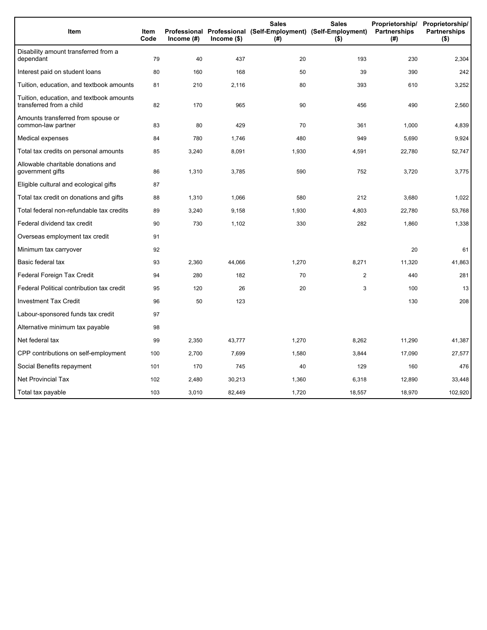| Item                                                                 | <b>Item</b><br>Code | Income (#) | $lncome$ (\$) | <b>Sales</b><br>(# ) | <b>Sales</b><br>Proprietorship/<br>Professional Professional (Self-Employment) (Self-Employment)<br>Partnerships<br>$($ \$) |        | Proprietorship/<br><b>Partnerships</b><br>$($ \$) |
|----------------------------------------------------------------------|---------------------|------------|---------------|----------------------|-----------------------------------------------------------------------------------------------------------------------------|--------|---------------------------------------------------|
| Disability amount transferred from a<br>dependant                    | 79                  | 40         | 437           | 20                   | 193                                                                                                                         | 230    | 2,304                                             |
| Interest paid on student loans                                       | 80                  | 160        | 168           | 50                   | 39                                                                                                                          | 390    | 242                                               |
| Tuition, education, and textbook amounts                             | 81                  | 210        | 2,116         | 80                   | 393                                                                                                                         | 610    | 3,252                                             |
| Tuition, education, and textbook amounts<br>transferred from a child | 82                  | 170        | 965           | 90                   | 456                                                                                                                         | 490    | 2,560                                             |
| Amounts transferred from spouse or<br>common-law partner             | 83                  | 80         | 429           | 70                   | 361                                                                                                                         | 1,000  | 4,839                                             |
| Medical expenses                                                     | 84                  | 780        | 1,746         | 480                  | 949                                                                                                                         | 5,690  | 9,924                                             |
| Total tax credits on personal amounts                                | 85                  | 3,240      | 8,091         | 1,930                | 4,591                                                                                                                       | 22,780 | 52,747                                            |
| Allowable charitable donations and<br>government gifts               | 86                  | 1,310      | 3,785         | 590                  | 752                                                                                                                         | 3,720  | 3,775                                             |
| Eligible cultural and ecological gifts                               | 87                  |            |               |                      |                                                                                                                             |        |                                                   |
| Total tax credit on donations and gifts                              | 88                  | 1,310      | 1,066         | 580                  | 212                                                                                                                         | 3,680  | 1,022                                             |
| Total federal non-refundable tax credits                             | 89                  | 3,240      | 9,158         | 1,930                | 4,803                                                                                                                       | 22,780 | 53,768                                            |
| Federal dividend tax credit                                          | 90                  | 730        | 1,102         | 330                  | 282                                                                                                                         | 1,860  | 1,338                                             |
| Overseas employment tax credit                                       | 91                  |            |               |                      |                                                                                                                             |        |                                                   |
| Minimum tax carryover                                                | 92                  |            |               |                      |                                                                                                                             | 20     | 61                                                |
| Basic federal tax                                                    | 93                  | 2,360      | 44,066        | 1,270                | 8,271                                                                                                                       | 11,320 | 41,863                                            |
| Federal Foreign Tax Credit                                           | 94                  | 280        | 182           | 70                   | $\overline{2}$                                                                                                              | 440    | 281                                               |
| Federal Political contribution tax credit                            | 95                  | 120        | 26            | 20                   | 3                                                                                                                           | 100    | 13                                                |
| <b>Investment Tax Credit</b>                                         | 96                  | 50         | 123           |                      |                                                                                                                             | 130    | 208                                               |
| Labour-sponsored funds tax credit                                    | 97                  |            |               |                      |                                                                                                                             |        |                                                   |
| Alternative minimum tax payable                                      | 98                  |            |               |                      |                                                                                                                             |        |                                                   |
| Net federal tax                                                      | 99                  | 2,350      | 43,777        | 1,270                | 8,262                                                                                                                       | 11,290 | 41,387                                            |
| CPP contributions on self-employment                                 | 100                 | 2,700      | 7,699         | 1,580                | 3,844                                                                                                                       | 17,090 | 27,577                                            |
| Social Benefits repayment                                            | 101                 | 170        | 745           | 40                   | 129                                                                                                                         | 160    | 476                                               |
| <b>Net Provincial Tax</b>                                            | 102                 | 2,480      | 30,213        | 1,360                | 6,318                                                                                                                       | 12,890 | 33,448                                            |
| Total tax payable                                                    | 103                 | 3,010      | 82,449        | 1,720                | 18,557                                                                                                                      | 18,970 | 102,920                                           |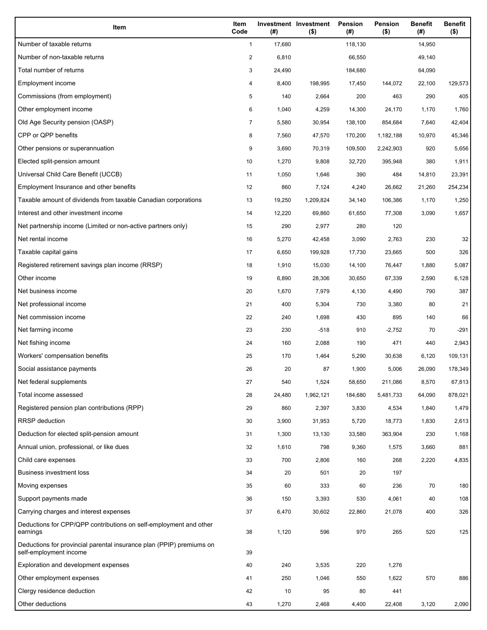| Item                                                                                           | Item<br>Code   | (# )   | Investment Investment<br>$($ \$) | Pension<br>(#) | Pension<br>$($ \$) | <b>Benefit</b><br>(#) | <b>Benefit</b><br>$($ \$) |
|------------------------------------------------------------------------------------------------|----------------|--------|----------------------------------|----------------|--------------------|-----------------------|---------------------------|
| Number of taxable returns                                                                      | $\mathbf{1}$   | 17,680 |                                  | 118,130        |                    | 14,950                |                           |
| Number of non-taxable returns                                                                  | $\overline{c}$ | 6,810  |                                  | 66,550         |                    | 49,140                |                           |
| Total number of returns                                                                        | 3              | 24,490 |                                  | 184,680        |                    | 64,090                |                           |
| Employment income                                                                              | 4              | 8,400  | 198,995                          | 17,450         | 144,072            | 22,100                | 129,573                   |
| Commissions (from employment)                                                                  | 5              | 140    | 2,664                            | 200            | 463                | 290                   | 405                       |
| Other employment income                                                                        | 6              | 1,040  | 4,259                            | 14,300         | 24,170             | 1,170                 | 1,760                     |
| Old Age Security pension (OASP)                                                                | $\overline{7}$ | 5,580  | 30,954                           | 138,100        | 854,684            | 7,640                 | 42,404                    |
| CPP or QPP benefits                                                                            | 8              | 7,560  | 47,570                           | 170,200        | 1,182,188          | 10,970                | 45,346                    |
| Other pensions or superannuation                                                               | 9              | 3,690  | 70,319                           | 109,500        | 2,242,903          | 920                   | 5,656                     |
| Elected split-pension amount                                                                   | 10             | 1,270  | 9,808                            | 32,720         | 395,948            | 380                   | 1,911                     |
| Universal Child Care Benefit (UCCB)                                                            | 11             | 1,050  | 1,646                            | 390            | 484                | 14,810                | 23,391                    |
| Employment Insurance and other benefits                                                        | 12             | 860    | 7,124                            | 4,240          | 26,662             | 21,260                | 254,234                   |
| Taxable amount of dividends from taxable Canadian corporations                                 | 13             | 19,250 | 1,209,824                        | 34,140         | 106,386            | 1,170                 | 1,250                     |
| Interest and other investment income                                                           | 14             | 12,220 | 69,860                           | 61,650         | 77,308             | 3,090                 | 1,657                     |
| Net partnership income (Limited or non-active partners only)                                   | 15             | 290    | 2,977                            | 280            | 120                |                       |                           |
| Net rental income                                                                              | 16             | 5,270  | 42,458                           | 3,090          | 2,763              | 230                   | 32                        |
| Taxable capital gains                                                                          | 17             | 6,650  | 199,928                          | 17,730         | 23,665             | 500                   | 326                       |
| Registered retirement savings plan income (RRSP)                                               | 18             | 1,910  | 15,030                           | 14,100         | 76,447             | 1,880                 | 5,087                     |
| Other income                                                                                   | 19             | 6,890  | 28,306                           | 30,650         | 67,339             | 2,590                 | 6,128                     |
| Net business income                                                                            | 20             | 1,670  | 7,979                            | 4,130          | 4,490              | 790                   | 387                       |
| Net professional income                                                                        | 21             | 400    | 5,304                            | 730            | 3,380              | 80                    | 21                        |
| Net commission income                                                                          | 22             | 240    | 1,698                            | 430            | 895                | 140                   | 66                        |
| Net farming income                                                                             | 23             | 230    | $-518$                           | 910            | $-2,752$           | 70                    | $-291$                    |
| Net fishing income                                                                             | 24             | 160    | 2,088                            | 190            | 471                | 440                   | 2,943                     |
| Workers' compensation benefits                                                                 | 25             | 170    | 1,464                            | 5,290          | 30,638             | 6,120                 | 109,131                   |
| Social assistance payments                                                                     | 26             | 20     | 87                               | 1,900          | 5,006              | 26,090                | 178,349                   |
| Net federal supplements                                                                        | 27             | 540    | 1,524                            | 58,650         | 211,086            | 8,570                 | 67,813                    |
| Total income assessed                                                                          | 28             | 24,480 | 1,962,121                        | 184,680        | 5,481,733          | 64,090                | 878,021                   |
| Registered pension plan contributions (RPP)                                                    | 29             | 860    | 2,397                            | 3,830          | 4,534              | 1,840                 | 1,479                     |
| <b>RRSP</b> deduction                                                                          | 30             | 3,900  | 31,953                           | 5,720          | 18,773             | 1,830                 | 2,613                     |
| Deduction for elected split-pension amount                                                     | 31             | 1,300  | 13,130                           | 33,580         | 363,904            | 230                   | 1,168                     |
| Annual union, professional, or like dues                                                       | 32             | 1,610  | 798                              | 9,360          | 1,575              | 3,660                 | 881                       |
| Child care expenses                                                                            | 33             | 700    | 2,806                            | 160            | 268                | 2,220                 | 4,835                     |
| <b>Business investment loss</b>                                                                | 34             | 20     | 501                              | 20             | 197                |                       |                           |
| Moving expenses                                                                                | 35             | 60     | 333                              | 60             | 236                | 70                    | 180                       |
| Support payments made                                                                          | 36             | 150    | 3,393                            | 530            | 4,061              | 40                    | 108                       |
| Carrying charges and interest expenses                                                         | 37             | 6,470  | 30,602                           | 22,860         | 21,078             | 400                   | 326                       |
| Deductions for CPP/QPP contributions on self-employment and other<br>earnings                  | 38             | 1,120  | 596                              | 970            | 265                | 520                   | 125                       |
| Deductions for provincial parental insurance plan (PPIP) premiums on<br>self-employment income | 39             |        |                                  |                |                    |                       |                           |
| Exploration and development expenses                                                           | 40             | 240    | 3,535                            | 220            | 1,276              |                       |                           |
| Other employment expenses                                                                      | 41             | 250    | 1,046                            | 550            | 1,622              | 570                   | 886                       |
| Clergy residence deduction                                                                     | 42             | 10     | 95                               | 80             | 441                |                       |                           |
| Other deductions                                                                               | 43             | 1,270  | 2,468                            | 4,400          | 22,408             | 3,120                 | 2,090                     |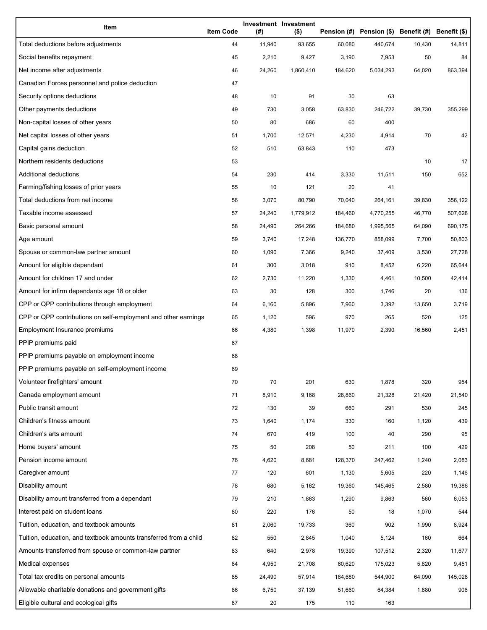| Item                                                              | <b>Item Code</b> | (#)    | Investment Investment<br>$($ \$) |         | Pension (#) Pension (\$) Benefit (#) Benefit (\$) |        |         |
|-------------------------------------------------------------------|------------------|--------|----------------------------------|---------|---------------------------------------------------|--------|---------|
| Total deductions before adjustments                               | 44               | 11,940 | 93,655                           | 60,080  | 440,674                                           | 10,430 | 14,811  |
| Social benefits repayment                                         | 45               | 2,210  | 9,427                            | 3,190   | 7,953                                             | 50     | 84      |
| Net income after adjustments                                      | 46               | 24,260 | 1,860,410                        | 184,620 | 5,034,293                                         | 64,020 | 863,394 |
| Canadian Forces personnel and police deduction                    | 47               |        |                                  |         |                                                   |        |         |
| Security options deductions                                       | 48               | 10     | 91                               | 30      | 63                                                |        |         |
| Other payments deductions                                         | 49               | 730    | 3,058                            | 63,830  | 246,722                                           | 39,730 | 355,299 |
| Non-capital losses of other years                                 | 50               | 80     | 686                              | 60      | 400                                               |        |         |
| Net capital losses of other years                                 | 51               | 1,700  | 12,571                           | 4,230   | 4,914                                             | 70     | 42      |
| Capital gains deduction                                           | 52               | 510    | 63,843                           | 110     | 473                                               |        |         |
| Northern residents deductions                                     | 53               |        |                                  |         |                                                   | 10     | 17      |
| Additional deductions                                             | 54               | 230    | 414                              | 3,330   | 11,511                                            | 150    | 652     |
| Farming/fishing losses of prior years                             | 55               | 10     | 121                              | 20      | 41                                                |        |         |
| Total deductions from net income                                  | 56               | 3,070  | 80,790                           | 70,040  | 264,161                                           | 39,830 | 356,122 |
| Taxable income assessed                                           | 57               | 24,240 | 1,779,912                        | 184,460 | 4,770,255                                         | 46,770 | 507,628 |
| Basic personal amount                                             | 58               | 24,490 | 264,266                          | 184,680 | 1,995,565                                         | 64,090 | 690,175 |
| Age amount                                                        | 59               | 3,740  | 17,248                           | 136,770 | 858,099                                           | 7,700  | 50,803  |
| Spouse or common-law partner amount                               | 60               | 1,090  | 7,366                            | 9,240   | 37,409                                            | 3,530  | 27,728  |
| Amount for eligible dependant                                     | 61               | 300    | 3,018                            | 910     | 8,452                                             | 6,220  | 65,644  |
| Amount for children 17 and under                                  | 62               | 2,730  | 11,220                           | 1,330   | 4,461                                             | 10,500 | 42,414  |
| Amount for infirm dependants age 18 or older                      | 63               | 30     | 128                              | 300     | 1,746                                             | 20     | 136     |
| CPP or QPP contributions through employment                       | 64               | 6,160  | 5,896                            | 7,960   | 3,392                                             | 13,650 | 3,719   |
| CPP or QPP contributions on self-employment and other earnings    | 65               | 1,120  | 596                              | 970     | 265                                               | 520    | 125     |
| Employment Insurance premiums                                     | 66               | 4,380  | 1,398                            | 11,970  | 2,390                                             | 16,560 | 2,451   |
| PPIP premiums paid                                                | 67               |        |                                  |         |                                                   |        |         |
| PPIP premiums payable on employment income                        | 68               |        |                                  |         |                                                   |        |         |
| PPIP premiums payable on self-employment income                   | 69               |        |                                  |         |                                                   |        |         |
| Volunteer firefighters' amount                                    | 70               | 70     | 201                              | 630     | 1,878                                             | 320    | 954     |
| Canada employment amount                                          | 71               | 8,910  | 9,168                            | 28,860  | 21,328                                            | 21,420 | 21,540  |
| Public transit amount                                             | 72               | 130    | 39                               | 660     | 291                                               | 530    | 245     |
| Children's fitness amount                                         | 73               | 1,640  | 1,174                            | 330     | 160                                               | 1,120  | 439     |
| Children's arts amount                                            | 74               | 670    | 419                              | 100     | 40                                                | 290    | 95      |
| Home buyers' amount                                               | 75               | 50     | 208                              | 50      | 211                                               | 100    | 429     |
| Pension income amount                                             | 76               | 4,620  | 8,681                            | 128,370 | 247,462                                           | 1,240  | 2,083   |
| Caregiver amount                                                  | 77               | 120    | 601                              | 1,130   | 5,605                                             | 220    | 1,146   |
| Disability amount                                                 | 78               | 680    | 5,162                            | 19,360  | 145,465                                           | 2,580  | 19,386  |
| Disability amount transferred from a dependant                    | 79               | 210    | 1,863                            | 1,290   | 9,863                                             | 560    | 6,053   |
| Interest paid on student loans                                    | 80               | 220    | 176                              | 50      | 18                                                | 1,070  | 544     |
| Tuition, education, and textbook amounts                          | 81               | 2,060  | 19,733                           | 360     | 902                                               | 1,990  | 8,924   |
| Tuition, education, and textbook amounts transferred from a child | 82               | 550    | 2,845                            | 1,040   | 5,124                                             | 160    | 664     |
| Amounts transferred from spouse or common-law partner             | 83               | 640    | 2,978                            | 19,390  | 107,512                                           | 2,320  | 11,677  |
| Medical expenses                                                  | 84               | 4,950  | 21,708                           | 60,620  | 175,023                                           | 5,820  | 9,451   |
| Total tax credits on personal amounts                             | 85               | 24,490 | 57,914                           | 184,680 | 544,900                                           | 64,090 | 145,028 |
| Allowable charitable donations and government gifts               | 86               | 6,750  | 37,139                           | 51,660  | 64,384                                            | 1,880  | 906     |
| Eligible cultural and ecological gifts                            | 87               | 20     | 175                              | 110     | 163                                               |        |         |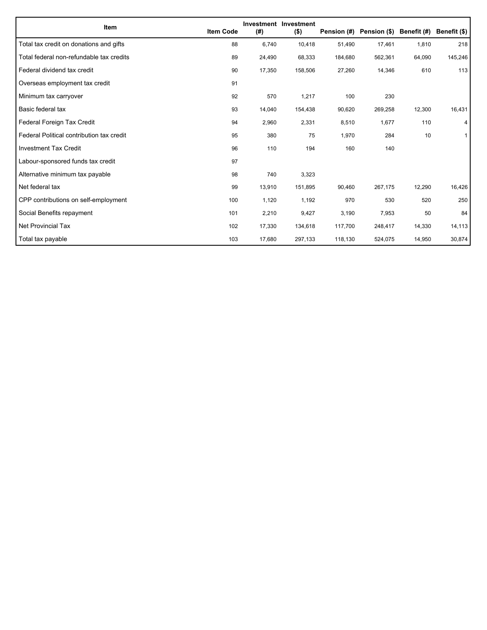| Item                                      | <b>Item Code</b> | (#)    | <b>Investment Investment</b><br>$($ \$) | Pension (#) | Pension (\$) Benefit (#) |        | Benefit (\$) |
|-------------------------------------------|------------------|--------|-----------------------------------------|-------------|--------------------------|--------|--------------|
| Total tax credit on donations and gifts   | 88               | 6,740  | 10,418                                  | 51,490      | 17,461                   | 1,810  | 218          |
| Total federal non-refundable tax credits  | 89               | 24,490 | 68,333                                  | 184,680     | 562,361                  | 64,090 | 145,246      |
| Federal dividend tax credit               | 90               | 17,350 | 158,506                                 | 27,260      | 14,346                   | 610    | 113          |
| Overseas employment tax credit            | 91               |        |                                         |             |                          |        |              |
| Minimum tax carryover                     | 92               | 570    | 1,217                                   | 100         | 230                      |        |              |
| Basic federal tax                         | 93               | 14,040 | 154,438                                 | 90,620      | 269,258                  | 12,300 | 16,431       |
| Federal Foreign Tax Credit                | 94               | 2,960  | 2,331                                   | 8,510       | 1,677                    | 110    | 4            |
| Federal Political contribution tax credit | 95               | 380    | 75                                      | 1,970       | 284                      | 10     | $\mathbf{1}$ |
| <b>Investment Tax Credit</b>              | 96               | 110    | 194                                     | 160         | 140                      |        |              |
| Labour-sponsored funds tax credit         | 97               |        |                                         |             |                          |        |              |
| Alternative minimum tax payable           | 98               | 740    | 3,323                                   |             |                          |        |              |
| Net federal tax                           | 99               | 13,910 | 151,895                                 | 90,460      | 267,175                  | 12,290 | 16,426       |
| CPP contributions on self-employment      | 100              | 1,120  | 1,192                                   | 970         | 530                      | 520    | 250          |
| Social Benefits repayment                 | 101              | 2,210  | 9,427                                   | 3,190       | 7,953                    | 50     | 84           |
| Net Provincial Tax                        | 102              | 17,330 | 134,618                                 | 117,700     | 248,417                  | 14,330 | 14,113       |
| Total tax payable                         | 103              | 17,680 | 297,133                                 | 118,130     | 524,075                  | 14,950 | 30,874       |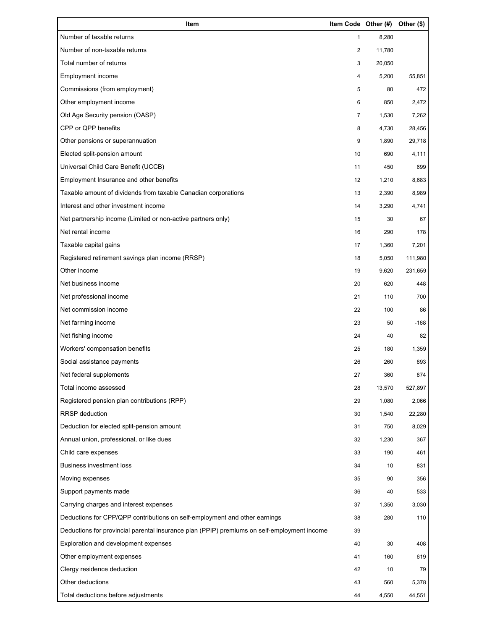| Item                                                                                        | Item Code Other (#) |        | Other (\$) |
|---------------------------------------------------------------------------------------------|---------------------|--------|------------|
| Number of taxable returns                                                                   | 1                   | 8,280  |            |
| Number of non-taxable returns                                                               | 2                   | 11,780 |            |
| Total number of returns                                                                     | 3                   | 20,050 |            |
| Employment income                                                                           | 4                   | 5,200  | 55,851     |
| Commissions (from employment)                                                               | 5                   | 80     | 472        |
| Other employment income                                                                     | 6                   | 850    | 2,472      |
| Old Age Security pension (OASP)                                                             | 7                   | 1,530  | 7,262      |
| CPP or QPP benefits                                                                         | 8                   | 4,730  | 28,456     |
| Other pensions or superannuation                                                            | 9                   | 1,890  | 29,718     |
| Elected split-pension amount                                                                | 10                  | 690    | 4,111      |
| Universal Child Care Benefit (UCCB)                                                         | 11                  | 450    | 699        |
| Employment Insurance and other benefits                                                     | 12                  | 1,210  | 8,683      |
| Taxable amount of dividends from taxable Canadian corporations                              | 13                  | 2,390  | 8,989      |
| Interest and other investment income                                                        | 14                  | 3,290  | 4,741      |
| Net partnership income (Limited or non-active partners only)                                | 15                  | 30     | 67         |
| Net rental income                                                                           | 16                  | 290    | 178        |
| Taxable capital gains                                                                       | 17                  | 1,360  | 7,201      |
| Registered retirement savings plan income (RRSP)                                            | 18                  | 5,050  | 111,980    |
| Other income                                                                                | 19                  | 9,620  | 231,659    |
| Net business income                                                                         | 20                  | 620    | 448        |
| Net professional income                                                                     | 21                  | 110    | 700        |
| Net commission income                                                                       | 22                  | 100    | 86         |
| Net farming income                                                                          | 23                  | 50     | $-168$     |
| Net fishing income                                                                          | 24                  | 40     | 82         |
| Workers' compensation benefits                                                              | 25                  | 180    | 1,359      |
| Social assistance payments                                                                  | 26                  | 260    | 893        |
| Net federal supplements                                                                     | 27                  | 360    | 874        |
| Total income assessed                                                                       | 28                  | 13,570 | 527,897    |
| Registered pension plan contributions (RPP)                                                 | 29                  | 1,080  | 2,066      |
| RRSP deduction                                                                              | 30                  | 1,540  | 22,280     |
| Deduction for elected split-pension amount                                                  | 31                  | 750    | 8,029      |
| Annual union, professional, or like dues                                                    | 32                  | 1,230  | 367        |
| Child care expenses                                                                         | 33                  | 190    | 461        |
| <b>Business investment loss</b>                                                             | 34                  | 10     | 831        |
| Moving expenses                                                                             | 35                  | 90     | 356        |
| Support payments made                                                                       | 36                  | 40     | 533        |
| Carrying charges and interest expenses                                                      | 37                  | 1,350  | 3,030      |
| Deductions for CPP/QPP contributions on self-employment and other earnings                  | 38                  | 280    | 110        |
| Deductions for provincial parental insurance plan (PPIP) premiums on self-employment income | 39                  |        |            |
| Exploration and development expenses                                                        | 40                  | 30     | 408        |
| Other employment expenses                                                                   | 41                  | 160    | 619        |
| Clergy residence deduction                                                                  | 42                  | 10     | 79         |
| Other deductions                                                                            | 43                  | 560    | 5,378      |
| Total deductions before adjustments                                                         | 44                  | 4,550  | 44,551     |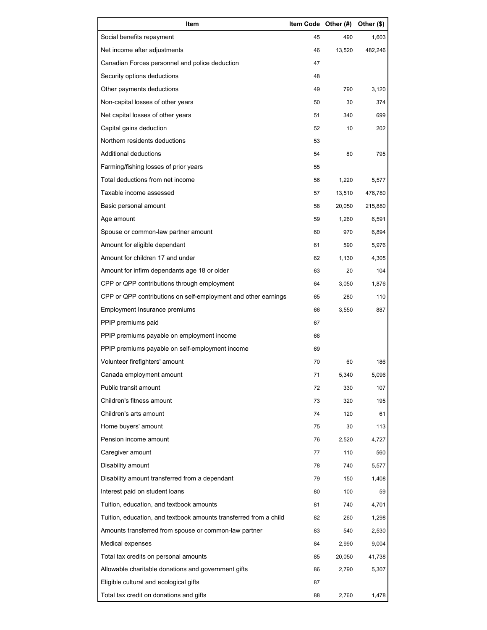| Item                                                              | Item Code Other (#) |        | Other (\$) |
|-------------------------------------------------------------------|---------------------|--------|------------|
| Social benefits repayment                                         | 45                  | 490    | 1,603      |
| Net income after adjustments                                      | 46                  | 13,520 | 482,246    |
| Canadian Forces personnel and police deduction                    | 47                  |        |            |
| Security options deductions                                       | 48                  |        |            |
| Other payments deductions                                         | 49                  | 790    | 3,120      |
| Non-capital losses of other years                                 | 50                  | 30     | 374        |
| Net capital losses of other years                                 | 51                  | 340    | 699        |
| Capital gains deduction                                           | 52                  | 10     | 202        |
| Northern residents deductions                                     | 53                  |        |            |
| Additional deductions                                             | 54                  | 80     | 795        |
| Farming/fishing losses of prior years                             | 55                  |        |            |
| Total deductions from net income                                  | 56                  | 1,220  | 5,577      |
| Taxable income assessed                                           | 57                  | 13,510 | 476,780    |
| Basic personal amount                                             | 58                  | 20,050 | 215,880    |
| Age amount                                                        | 59                  | 1,260  | 6,591      |
| Spouse or common-law partner amount                               | 60                  | 970    | 6,894      |
| Amount for eligible dependant                                     | 61                  | 590    | 5,976      |
| Amount for children 17 and under                                  | 62                  | 1,130  | 4,305      |
| Amount for infirm dependants age 18 or older                      | 63                  | 20     | 104        |
| CPP or QPP contributions through employment                       | 64                  | 3,050  | 1,876      |
| CPP or QPP contributions on self-employment and other earnings    | 65                  | 280    | 110        |
| Employment Insurance premiums                                     | 66                  | 3,550  | 887        |
| PPIP premiums paid                                                | 67                  |        |            |
| PPIP premiums payable on employment income                        | 68                  |        |            |
| PPIP premiums payable on self-employment income                   | 69                  |        |            |
| Volunteer firefighters' amount                                    | 70                  | 60     | 186        |
| Canada employment amount                                          | 71                  | 5,340  | 5,096      |
| Public transit amount                                             | 72                  | 330    | 107        |
| Children's fitness amount                                         | 73                  | 320    | 195        |
| Children's arts amount                                            | 74                  | 120    | 61         |
| Home buyers' amount                                               | 75                  | 30     | 113        |
| Pension income amount                                             | 76                  | 2,520  | 4,727      |
| Caregiver amount                                                  | 77                  | 110    | 560        |
| Disability amount                                                 | 78                  | 740    | 5,577      |
| Disability amount transferred from a dependant                    | 79                  | 150    | 1,408      |
| Interest paid on student loans                                    | 80                  | 100    | 59         |
| Tuition, education, and textbook amounts                          | 81                  | 740    | 4,701      |
| Tuition, education, and textbook amounts transferred from a child | 82                  | 260    | 1,298      |
| Amounts transferred from spouse or common-law partner             | 83                  | 540    | 2,530      |
| Medical expenses                                                  | 84                  | 2,990  | 9,004      |
| Total tax credits on personal amounts                             | 85                  | 20,050 | 41,738     |
| Allowable charitable donations and government gifts               | 86                  | 2,790  | 5,307      |
| Eligible cultural and ecological gifts                            | 87                  |        |            |
| Total tax credit on donations and gifts                           | 88                  | 2,760  | 1,478      |